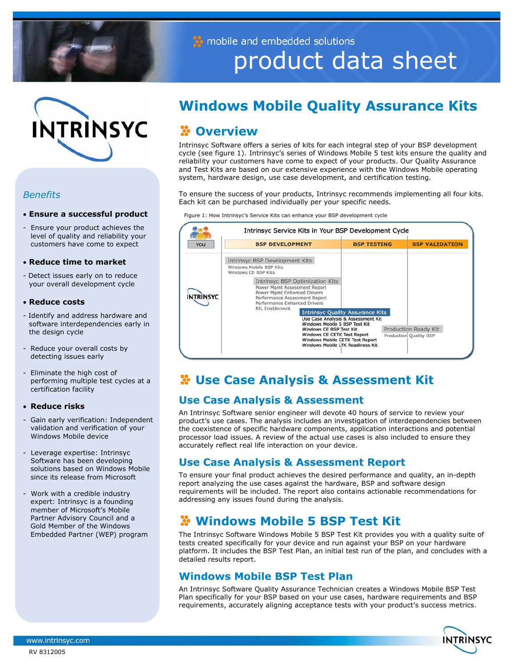

INTRINSYC

## *Benefits*

#### • **Ensure a successful product**

- Ensure your product achieves the level of quality and reliability your customers have come to expect

#### • **Reduce time to market**

- Detect issues early on to reduce your overall development cycle

#### • **Reduce costs**

- Identify and address hardware and software interdependencies early in the design cycle
- Reduce your overall costs by detecting issues early
- Eliminate the high cost of performing multiple test cycles at a certification facility

#### • **Reduce risks**

- Gain early verification: Independent validation and verification of your Windows Mobile device
- Leverage expertise: Intrinsyc Software has been developing solutions based on Windows Mobile since its release from Microsoft
- Work with a credible industry expert: Intrinsyc is a founding member of Microsoft's Mobile Partner Advisory Council and a Gold Member of the Windows Embedded Partner (WEP) program

# **Windows Mobile Quality Assurance Kits**

product data sheet

# **Overview**

 and Test Kits are based on our extensive experience with the Windows Mobile operating Intrinsyc Software offers a series of kits for each integral step of your BSP development cycle (see figure 1). Intrinsyc's series of Windows Mobile 5 test kits ensure the quality and reliability your customers have come to expect of your products. Our Quality Assurance system, hardware design, use case development, and certification testing.

To ensure the success of your products, Intrinsyc recommends implementing all four kits. Each kit can be purchased individually per your specific needs.

Figure 1: How Intrinsyc's Service Kits can enhance your BSP development cycle

mobile and embedded solutions

|            | Intrinsyc Service Kits in Your BSP Development Cycle                                                                                                                                                 |                                         |                                                |
|------------|------------------------------------------------------------------------------------------------------------------------------------------------------------------------------------------------------|-----------------------------------------|------------------------------------------------|
| <b>YOU</b> | <b>BSP DEVELOPMENT</b>                                                                                                                                                                               | <b>BSP TESTING</b>                      | <b>BSP VALIDATION</b>                          |
|            | Intrinsyc BSP Development Kits<br>Windows Mobile BSP Kits<br>Windows CF BSP Kits                                                                                                                     |                                         |                                                |
| INTRINSYC  | Intrinsyc BSP Optimization Kits<br>Power Mgmt Assessment Report<br>Power Mgmt Enhanced Drivers<br>Performance Assessment Report<br>Performance Enhanced Drivers<br><b>RIL Enablement</b>             | <b>Intrinsyc Quality Assurance Kits</b> |                                                |
|            | Use Case Analysis & Assessment Kit<br>Windows Mobile 5 BSP Test Kit<br>Windows CE BSP Test Kit<br>Windows CE CETK Test Report<br>Windows Mobile CETK Test Report<br>Windows Mobile LTK Readiness Kit |                                         | Production Ready Kit<br>Production Quality BSP |

# **Use Case Analysis & Assessment Kit**

## **Use Case Analysis & Assessment**

An Intrinsyc Software senior engineer will devote 40 hours of service to review your product's use cases. The analysis includes an investigation of interdependencies between the coexistence of specific hardware components, application interactions and potential processor load issues. A review of the actual use cases is also included to ensure they accurately reflect real life interaction on your device.

## **Use Case Analysis & Assessment Report**

To ensure your final product achieves the desired performance and quality, an in-depth report analyzing the use cases against the hardware, BSP and software design requirements will be included. The report also contains actionable recommendations for addressing any issues found during the analysis.

# **Windows Mobile 5 BSP Test Kit**

The Intrinsyc Software Windows Mobile 5 BSP Test Kit provides you with a quality suite of tests created specifically for your device and run against your BSP on your hardware platform. It includes the BSP Test Plan, an initial test run of the plan, and concludes with a detailed results report.

## **Windows Mobile BSP Test Plan**

An Intrinsyc Software Quality Assurance Technician creates a Windows Mobile BSP Test Plan specifically for your BSP based on your use cases, hardware requirements and BSP requirements, accurately aligning acceptance tests with your product's success metrics.